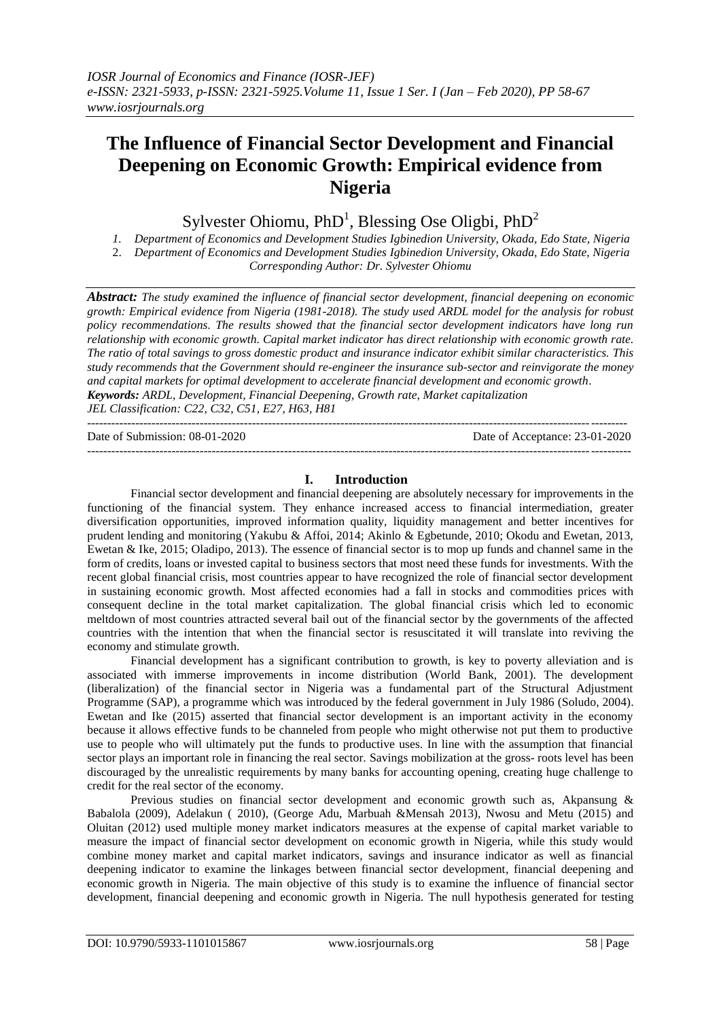# **The Influence of Financial Sector Development and Financial Deepening on Economic Growth: Empirical evidence from Nigeria**

Sylvester Ohiomu,  $PhD<sup>1</sup>$ , Blessing Ose Oligbi,  $PhD<sup>2</sup>$ 

*1. Department of Economics and Development Studies Igbinedion University, Okada, Edo State, Nigeria*

2. *Department of Economics and Development Studies Igbinedion University, Okada, Edo State, Nigeria Corresponding Author: Dr. Sylvester Ohiomu*

*Abstract: The study examined the influence of financial sector development, financial deepening on economic growth: Empirical evidence from Nigeria (1981-2018). The study used ARDL model for the analysis for robust policy recommendations. The results showed that the financial sector development indicators have long run relationship with economic growth. Capital market indicator has direct relationship with economic growth rate. The ratio of total savings to gross domestic product and insurance indicator exhibit similar characteristics. This study recommends that the Government should re-engineer the insurance sub-sector and reinvigorate the money and capital markets for optimal development to accelerate financial development and economic growth. Keywords: ARDL, Development, Financial Deepening, Growth rate, Market capitalization JEL Classification: C22, C32, C51, E27, H63, H81* --------------------------------------------------------------------------------------------------------------------------------------

Date of Submission: 08-01-2020 Date of Acceptance: 23-01-2020

---------------------------------------------------------------------------------------------------------------------------------------

# **I. Introduction**

Financial sector development and financial deepening are absolutely necessary for improvements in the functioning of the financial system. They enhance increased access to financial intermediation, greater diversification opportunities, improved information quality, liquidity management and better incentives for prudent lending and monitoring (Yakubu & Affoi, 2014; Akinlo & Egbetunde, 2010; Okodu and Ewetan, 2013, Ewetan & Ike, 2015; Oladipo, 2013). The essence of financial sector is to mop up funds and channel same in the form of credits, loans or invested capital to business sectors that most need these funds for investments. With the recent global financial crisis, most countries appear to have recognized the role of financial sector development in sustaining economic growth. Most affected economies had a fall in stocks and commodities prices with consequent decline in the total market capitalization. The global financial crisis which led to economic meltdown of most countries attracted several bail out of the financial sector by the governments of the affected countries with the intention that when the financial sector is resuscitated it will translate into reviving the economy and stimulate growth.

Financial development has a significant contribution to growth, is key to poverty alleviation and is associated with immerse improvements in income distribution (World Bank, 2001). The development (liberalization) of the financial sector in Nigeria was a fundamental part of the Structural Adjustment Programme (SAP), a programme which was introduced by the federal government in July 1986 (Soludo, 2004). Ewetan and Ike (2015) asserted that financial sector development is an important activity in the economy because it allows effective funds to be channeled from people who might otherwise not put them to productive use to people who will ultimately put the funds to productive uses. In line with the assumption that financial sector plays an important role in financing the real sector. Savings mobilization at the gross- roots level has been discouraged by the unrealistic requirements by many banks for accounting opening, creating huge challenge to credit for the real sector of the economy.

Previous studies on financial sector development and economic growth such as, Akpansung & Babalola (2009), Adelakun ( 2010), (George Adu, Marbuah &Mensah 2013), Nwosu and Metu (2015) and Oluitan (2012) used multiple money market indicators measures at the expense of capital market variable to measure the impact of financial sector development on economic growth in Nigeria, while this study would combine money market and capital market indicators, savings and insurance indicator as well as financial deepening indicator to examine the linkages between financial sector development, financial deepening and economic growth in Nigeria. The main objective of this study is to examine the influence of financial sector development, financial deepening and economic growth in Nigeria. The null hypothesis generated for testing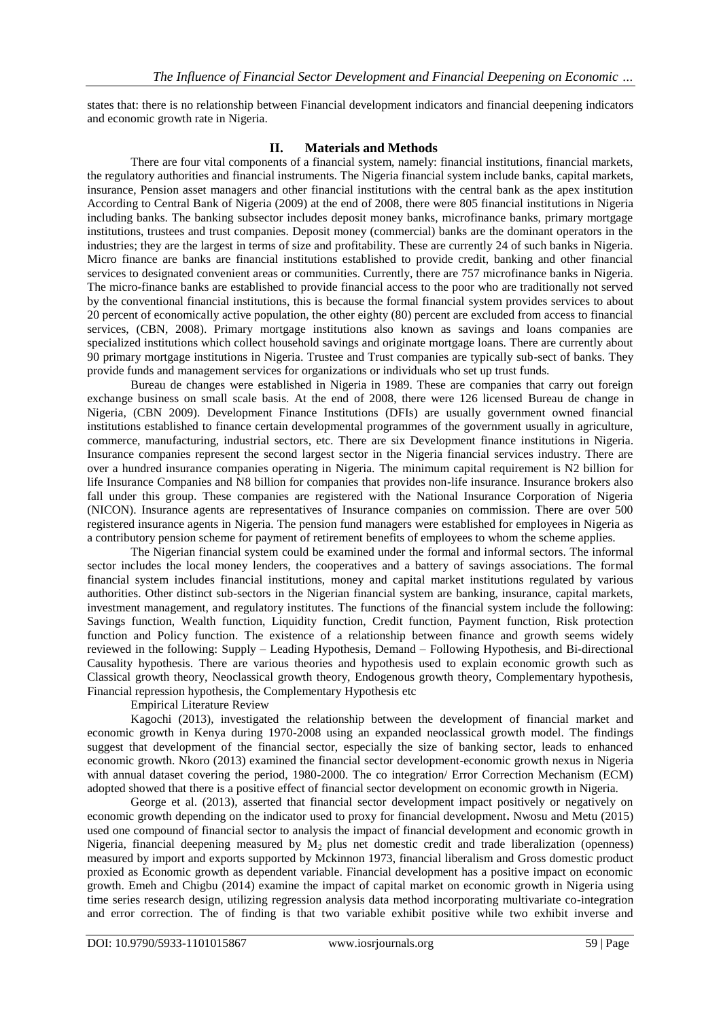states that: there is no relationship between Financial development indicators and financial deepening indicators and economic growth rate in Nigeria.

#### **II. Materials and Methods**

There are four vital components of a financial system, namely: financial institutions, financial markets, the regulatory authorities and financial instruments. The Nigeria financial system include banks, capital markets, insurance, Pension asset managers and other financial institutions with the central bank as the apex institution According to Central Bank of Nigeria (2009) at the end of 2008, there were 805 financial institutions in Nigeria including banks. The banking subsector includes deposit money banks, microfinance banks, primary mortgage institutions, trustees and trust companies. Deposit money (commercial) banks are the dominant operators in the industries; they are the largest in terms of size and profitability. These are currently 24 of such banks in Nigeria. Micro finance are banks are financial institutions established to provide credit, banking and other financial services to designated convenient areas or communities. Currently, there are 757 microfinance banks in Nigeria. The micro-finance banks are established to provide financial access to the poor who are traditionally not served by the conventional financial institutions, this is because the formal financial system provides services to about 20 percent of economically active population, the other eighty (80) percent are excluded from access to financial services, (CBN, 2008). Primary mortgage institutions also known as savings and loans companies are specialized institutions which collect household savings and originate mortgage loans. There are currently about 90 primary mortgage institutions in Nigeria. Trustee and Trust companies are typically sub-sect of banks. They provide funds and management services for organizations or individuals who set up trust funds.

Bureau de changes were established in Nigeria in 1989. These are companies that carry out foreign exchange business on small scale basis. At the end of 2008, there were 126 licensed Bureau de change in Nigeria, (CBN 2009). Development Finance Institutions (DFIs) are usually government owned financial institutions established to finance certain developmental programmes of the government usually in agriculture, commerce, manufacturing, industrial sectors, etc. There are six Development finance institutions in Nigeria. Insurance companies represent the second largest sector in the Nigeria financial services industry. There are over a hundred insurance companies operating in Nigeria. The minimum capital requirement is N2 billion for life Insurance Companies and N8 billion for companies that provides non-life insurance. Insurance brokers also fall under this group. These companies are registered with the National Insurance Corporation of Nigeria (NICON). Insurance agents are representatives of Insurance companies on commission. There are over 500 registered insurance agents in Nigeria. The pension fund managers were established for employees in Nigeria as a contributory pension scheme for payment of retirement benefits of employees to whom the scheme applies.

The Nigerian financial system could be examined under the formal and informal sectors. The informal sector includes the local money lenders, the cooperatives and a battery of savings associations. The formal financial system includes financial institutions, money and capital market institutions regulated by various authorities. Other distinct sub-sectors in the Nigerian financial system are banking, insurance, capital markets, investment management, and regulatory institutes. The functions of the financial system include the following: Savings function, Wealth function, Liquidity function, Credit function, Payment function, Risk protection function and Policy function. The existence of a relationship between finance and growth seems widely reviewed in the following: Supply – Leading Hypothesis, Demand – Following Hypothesis, and Bi-directional Causality hypothesis. There are various theories and hypothesis used to explain economic growth such as Classical growth theory, Neoclassical growth theory, Endogenous growth theory, Complementary hypothesis, Financial repression hypothesis, the Complementary Hypothesis etc

Empirical Literature Review

Kagochi (2013), investigated the relationship between the development of financial market and economic growth in Kenya during 1970-2008 using an expanded neoclassical growth model. The findings suggest that development of the financial sector, especially the size of banking sector, leads to enhanced economic growth. Nkoro (2013) examined the financial sector development-economic growth nexus in Nigeria with annual dataset covering the period, 1980-2000. The co integration/ Error Correction Mechanism (ECM) adopted showed that there is a positive effect of financial sector development on economic growth in Nigeria.

George et al. (2013), asserted that financial sector development impact positively or negatively on economic growth depending on the indicator used to proxy for financial development**.** Nwosu and Metu (2015) used one compound of financial sector to analysis the impact of financial development and economic growth in Nigeria, financial deepening measured by  $M_2$  plus net domestic credit and trade liberalization (openness) measured by import and exports supported by Mckinnon 1973, financial liberalism and Gross domestic product proxied as Economic growth as dependent variable. Financial development has a positive impact on economic growth. Emeh and Chigbu (2014) examine the impact of capital market on economic growth in Nigeria using time series research design, utilizing regression analysis data method incorporating multivariate co-integration and error correction. The of finding is that two variable exhibit positive while two exhibit inverse and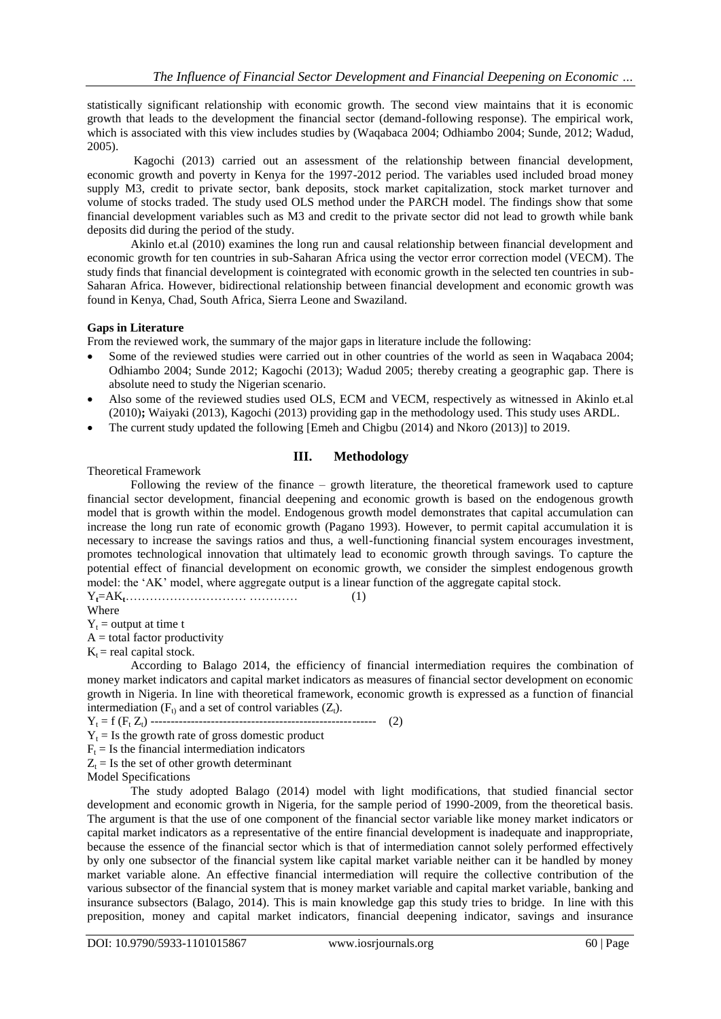statistically significant relationship with economic growth. The second view maintains that it is economic growth that leads to the development the financial sector (demand-following response). The empirical work, which is associated with this view includes studies by (Waqabaca 2004; Odhiambo 2004; Sunde, 2012; Wadud, 2005).

Kagochi (2013) carried out an assessment of the relationship between financial development, economic growth and poverty in Kenya for the 1997-2012 period. The variables used included broad money supply M3, credit to private sector, bank deposits, stock market capitalization, stock market turnover and volume of stocks traded. The study used OLS method under the PARCH model. The findings show that some financial development variables such as M3 and credit to the private sector did not lead to growth while bank deposits did during the period of the study.

Akinlo et.al (2010) examines the long run and causal relationship between financial development and economic growth for ten countries in sub-Saharan Africa using the vector error correction model (VECM). The study finds that financial development is cointegrated with economic growth in the selected ten countries in sub-Saharan Africa. However, bidirectional relationship between financial development and economic growth was found in Kenya, Chad, South Africa, Sierra Leone and Swaziland.

# **Gaps in Literature**

From the reviewed work, the summary of the major gaps in literature include the following:

- Some of the reviewed studies were carried out in other countries of the world as seen in Waqabaca 2004; Odhiambo 2004; Sunde 2012; Kagochi (2013); Wadud 2005; thereby creating a geographic gap. There is absolute need to study the Nigerian scenario.
- Also some of the reviewed studies used OLS, ECM and VECM, respectively as witnessed in Akinlo et.al (2010)**;** Waiyaki (2013), Kagochi (2013) providing gap in the methodology used. This study uses ARDL.
- The current study updated the following [Emeh and Chigbu (2014) and Nkoro (2013)] to 2019.

# **III. Methodology**

Theoretical Framework

Following the review of the finance – growth literature, the theoretical framework used to capture financial sector development, financial deepening and economic growth is based on the endogenous growth model that is growth within the model. Endogenous growth model demonstrates that capital accumulation can increase the long run rate of economic growth (Pagano 1993). However, to permit capital accumulation it is necessary to increase the savings ratios and thus, a well-functioning financial system encourages investment, promotes technological innovation that ultimately lead to economic growth through savings. To capture the potential effect of financial development on economic growth, we consider the simplest endogenous growth model: the "AK" model, where aggregate output is a linear function of the aggregate capital stock. Y**t**=AK**t**………………………… ………… (1)

Where

 $Y_t$  = output at time t

 $A =$  total factor productivity

 $K_t$  = real capital stock.

According to Balago 2014, the efficiency of financial intermediation requires the combination of money market indicators and capital market indicators as measures of financial sector development on economic growth in Nigeria. In line with theoretical framework, economic growth is expressed as a function of financial intermediation ( $F_t$ ) and a set of control variables ( $Z_t$ ).

Y<sup>t</sup> = f (F<sup>t</sup> Zt) -------------------------------------------------------- (2)

 $Y_t$  = Is the growth rate of gross domestic product

 $F<sub>t</sub>$  = Is the financial intermediation indicators

 $Z_t = Is$  the set of other growth determinant

Model Specifications

The study adopted Balago (2014) model with light modifications, that studied financial sector development and economic growth in Nigeria, for the sample period of 1990-2009, from the theoretical basis. The argument is that the use of one component of the financial sector variable like money market indicators or capital market indicators as a representative of the entire financial development is inadequate and inappropriate, because the essence of the financial sector which is that of intermediation cannot solely performed effectively by only one subsector of the financial system like capital market variable neither can it be handled by money market variable alone. An effective financial intermediation will require the collective contribution of the various subsector of the financial system that is money market variable and capital market variable, banking and insurance subsectors (Balago, 2014). This is main knowledge gap this study tries to bridge. In line with this preposition, money and capital market indicators, financial deepening indicator, savings and insurance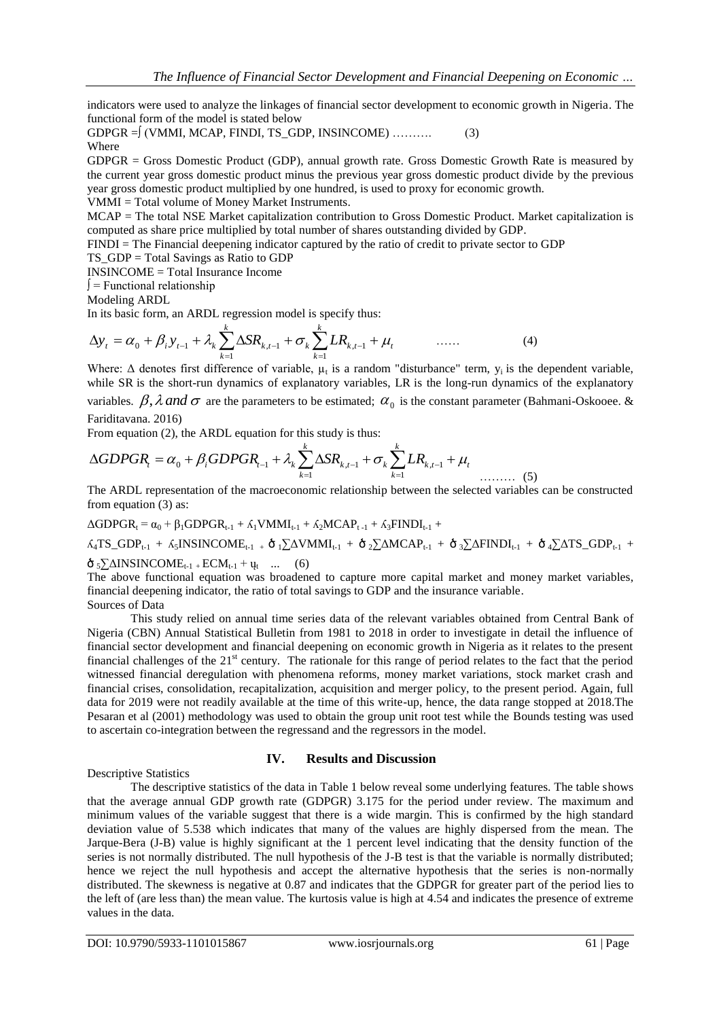indicators were used to analyze the linkages of financial sector development to economic growth in Nigeria. The functional form of the model is stated below

GDPGR = 
$$
\int
$$
 (VMMI, MCAP, FINDI, TS\_GDP, INSINCOME) ......... (3)  
Where

GDPGR = Gross Domestic Product (GDP), annual growth rate. Gross Domestic Growth Rate is measured by the current year gross domestic product minus the previous year gross domestic product divide by the previous year gross domestic product multiplied by one hundred, is used to proxy for economic growth.

VMMI = Total volume of Money Market Instruments.

MCAP = The total NSE Market capitalization contribution to Gross Domestic Product. Market capitalization is computed as share price multiplied by total number of shares outstanding divided by GDP.

FINDI = The Financial deepening indicator captured by the ratio of credit to private sector to GDP

TS\_GDP = Total Savings as Ratio to GDP

INSINCOME = Total Insurance Income

∫ = Functional relationship

Modeling ARDL

In its basic form, an ARDL regression model is specify thus:

$$
\Delta y_t = \alpha_0 + \beta_i y_{t-1} + \lambda_k \sum_{k=1}^k \Delta SR_{k,t-1} + \sigma_k \sum_{k=1}^k LR_{k,t-1} + \mu_t \qquad \qquad (4)
$$

Where:  $\Delta$  denotes first difference of variable,  $\mu_t$  is a random "disturbance" term,  $y_i$  is the dependent variable, while SR is the short-run dynamics of explanatory variables, LR is the long-run dynamics of the explanatory

variables.  $\beta$ ,  $\lambda$  and  $\sigma$  are the parameters to be estimated;  $\alpha_0$  is the constant parameter (Bahmani-Oskooee. & Fariditavana. 2016)

From equation (2), the ARDL equation for this study is thus:

$$
\Delta GDPGR_t = \alpha_0 + \beta_i GDPGR_{t-1} + \lambda_k \sum_{k=1}^k \Delta SR_{k,t-1} + \sigma_k \sum_{k=1}^k LR_{k,t-1} + \mu_t
$$

The ARDL representation of the macroeconomic relationship between the selected variables can be constructed from equation (3) as:

 $\Delta GDPGR_t = \alpha_0 + \beta_1 GDPGR_{t-1} + \beta_1 VMMI_{t-1} + \beta_2 MCAP_{t-1} + \beta_3 FINDI_{t-1} +$ 

 $\Lambda_4$ TS\_GDP<sub>t-1</sub> +  $\Lambda_5$ INSINCOME<sub>t-1</sub> +  $\dot{\sigma}$ <sub>1</sub> $\sum$ AVMMI<sub>t-1</sub> +  $\dot{\sigma}$ <sub>2</sub> $\sum$ AMCAP<sub>t-1</sub> +  $\dot{\sigma}$ <sub>3</sub> $\sum$ AFINDI<sub>t-1</sub> +  $\dot{\sigma}$ <sub>4</sub> $\sum$ ATS\_GDP<sub>t-1</sub> +

 $\delta_5 \sum \Delta INSINCOMP_{t-1} + ECM_{t-1} + \mu_t$  ... (6)

The above functional equation was broadened to capture more capital market and money market variables, financial deepening indicator, the ratio of total savings to GDP and the insurance variable. Sources of Data

This study relied on annual time series data of the relevant variables obtained from Central Bank of Nigeria (CBN) Annual Statistical Bulletin from 1981 to 2018 in order to investigate in detail the influence of financial sector development and financial deepening on economic growth in Nigeria as it relates to the present financial challenges of the 21<sup>st</sup> century. The rationale for this range of period relates to the fact that the period witnessed financial deregulation with phenomena reforms, money market variations, stock market crash and financial crises, consolidation, recapitalization, acquisition and merger policy, to the present period. Again, full data for 2019 were not readily available at the time of this write-up, hence, the data range stopped at 2018.The Pesaran et al (2001) methodology was used to obtain the group unit root test while the Bounds testing was used to ascertain co-integration between the regressand and the regressors in the model.

# **IV. Results and Discussion**

Descriptive Statistics

The descriptive statistics of the data in Table 1 below reveal some underlying features. The table shows that the average annual GDP growth rate (GDPGR) 3.175 for the period under review. The maximum and minimum values of the variable suggest that there is a wide margin. This is confirmed by the high standard deviation value of 5.538 which indicates that many of the values are highly dispersed from the mean. The Jarque-Bera (J-B) value is highly significant at the 1 percent level indicating that the density function of the series is not normally distributed. The null hypothesis of the J-B test is that the variable is normally distributed; hence we reject the null hypothesis and accept the alternative hypothesis that the series is non-normally distributed. The skewness is negative at 0.87 and indicates that the GDPGR for greater part of the period lies to the left of (are less than) the mean value. The kurtosis value is high at 4.54 and indicates the presence of extreme values in the data.

 $(5)$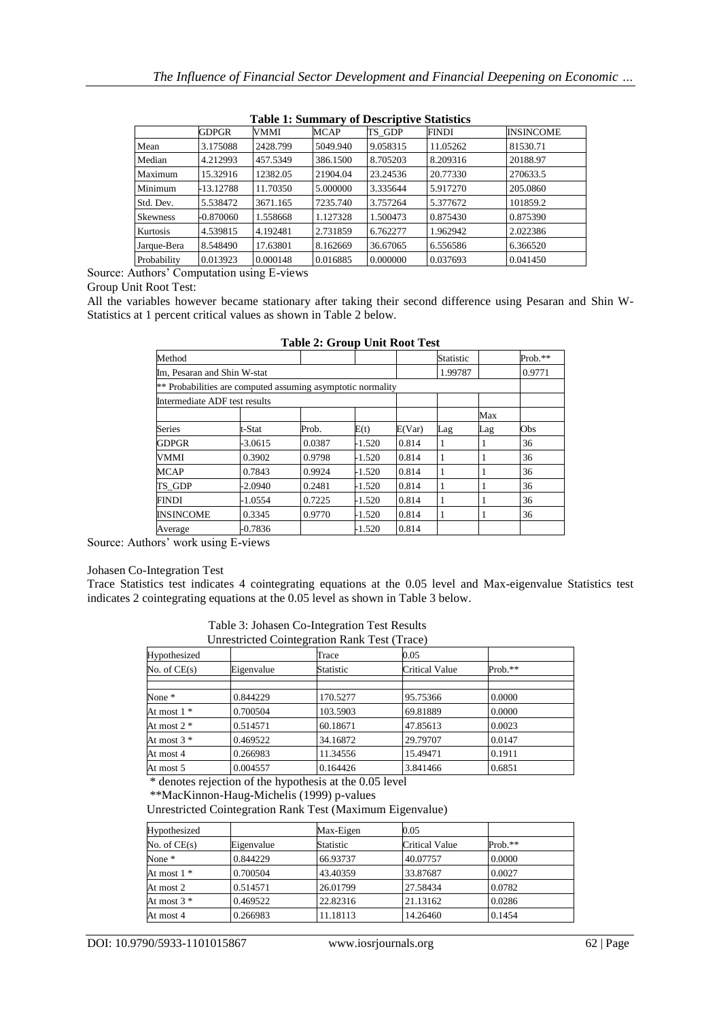|                 | 10010 11041111101<br>$\sim$ 0.000 $\sim$ 0.000 $\sim$ 0.000 $\sim$ |          |             |          |              |                  |  |
|-----------------|--------------------------------------------------------------------|----------|-------------|----------|--------------|------------------|--|
|                 | GDPGR                                                              | VMMI     | <b>MCAP</b> | TS GDP   | <b>FINDI</b> | <b>INSINCOME</b> |  |
| Mean            | 3.175088                                                           | 2428.799 | 5049.940    | 9.058315 | 11.05262     | 81530.71         |  |
| Median          | 4.212993                                                           | 457.5349 | 386.1500    | 8.705203 | 8.209316     | 20188.97         |  |
| Maximum         | 15.32916                                                           | 12382.05 | 21904.04    | 23.24536 | 20.77330     | 270633.5         |  |
| Minimum         | -13.12788                                                          | 11.70350 | 5.000000    | 3.335644 | 5.917270     | 205.0860         |  |
| Std. Dev.       | 5.538472                                                           | 3671.165 | 7235.740    | 3.757264 | 5.377672     | 101859.2         |  |
| <b>Skewness</b> | $-0.870060$                                                        | 1.558668 | 1.127328    | 1.500473 | 0.875430     | 0.875390         |  |
| Kurtosis        | 4.539815                                                           | 4.192481 | 2.731859    | 6.762277 | 1.962942     | 2.022386         |  |
| Jarque-Bera     | 8.548490                                                           | 17.63801 | 8.162669    | 36.67065 | 6.556586     | 6.366520         |  |
| Probability     | 0.013923                                                           | 0.000148 | 0.016885    | 0.000000 | 0.037693     | 0.041450         |  |

#### **Table 1: Summary of Descriptive Statistics**

Source: Authors" Computation using E-views

Group Unit Root Test:

All the variables however became stationary after taking their second difference using Pesaran and Shin W-Statistics at 1 percent critical values as shown in Table 2 below.

|                                                             |           | Table 2. STOUP CITTLE NOOL TEST |          |        |           |     |           |
|-------------------------------------------------------------|-----------|---------------------------------|----------|--------|-----------|-----|-----------|
| Method                                                      |           |                                 |          |        | Statistic |     | $Prob.**$ |
| Im, Pesaran and Shin W-stat                                 |           |                                 |          |        | 1.99787   |     | 0.9771    |
| ** Probabilities are computed assuming asymptotic normality |           |                                 |          |        |           |     |           |
| Intermediate ADF test results                               |           |                                 |          |        |           |     |           |
|                                                             |           |                                 |          |        |           | Max |           |
| <b>Series</b>                                               | t-Stat    | Prob.                           | E(t)     | E(Var) | Lag       | Lag | Obs       |
| <b>GDPGR</b>                                                | -3.0615   | 0.0387                          | -1.520   | 0.814  |           |     | 36        |
| VMMI                                                        | 0.3902    | 0.9798                          | $-1.520$ | 0.814  |           |     | 36        |
| <b>MCAP</b>                                                 | 0.7843    | 0.9924                          | $-1.520$ | 0.814  |           |     | 36        |
| TS GDP                                                      | -2.0940   | 0.2481                          | -1.520   | 0.814  |           |     | 36        |
| <b>FINDI</b>                                                | $-1.0554$ | 0.7225                          | $-1.520$ | 0.814  |           |     | 36        |
| <b>INSINCOME</b>                                            | 0.3345    | 0.9770                          | $-1.520$ | 0.814  |           |     | 36        |
| Average                                                     | $-0.7836$ |                                 | $-1.520$ | 0.814  |           |     |           |

**Table 2: Group Unit Root Test**

Source: Authors' work using E-views

#### Johasen Co-Integration Test

Trace Statistics test indicates 4 cointegrating equations at the 0.05 level and Max-eigenvalue Statistics test indicates 2 cointegrating equations at the 0.05 level as shown in Table 3 below.

| Table 3: Johasen Co-Integration Test Results |  |
|----------------------------------------------|--|
| Unrestricted Cointegration Rank Test (Trace) |  |

| Hypothesized   |            | Trace     | 0.05           |           |  |  |  |
|----------------|------------|-----------|----------------|-----------|--|--|--|
| No. of $CE(s)$ | Eigenvalue | Statistic | Critical Value | $Prob.**$ |  |  |  |
|                |            |           |                |           |  |  |  |
| None $*$       | 0.844229   | 170.5277  | 95.75366       | 0.0000    |  |  |  |
| At most $1 *$  | 0.700504   | 103.5903  | 69.81889       | 0.0000    |  |  |  |
| At most $2 *$  | 0.514571   | 60.18671  | 47.85613       | 0.0023    |  |  |  |
| At most $3 *$  | 0.469522   | 34.16872  | 29.79707       | 0.0147    |  |  |  |
| At most 4      | 0.266983   | 11.34556  | 15.49471       | 0.1911    |  |  |  |
| At most 5      | 0.004557   | 0.164426  | 3.841466       | 0.6851    |  |  |  |

\* denotes rejection of the hypothesis at the 0.05 level

\*\*MacKinnon-Haug-Michelis (1999) p-values

Unrestricted Cointegration Rank Test (Maximum Eigenvalue)

| Hypothesized    |            | Max-Eigen        | 0.05           |           |
|-----------------|------------|------------------|----------------|-----------|
| No. of $CE(s)$  | Eigenvalue | <b>Statistic</b> | Critical Value | $Prob.**$ |
| None $*$        | 0.844229   | 66.93737         | 40.07757       | 0.0000    |
| At most $1$ $*$ | 0.700504   | 43.40359         | 33.87687       | 0.0027    |
| At most 2       | 0.514571   | 26.01799         | 27.58434       | 0.0782    |
| At most $3 *$   | 0.469522   | 22.82316         | 21.13162       | 0.0286    |
| At most 4       | 0.266983   | 11.18113         | 14.26460       | 0.1454    |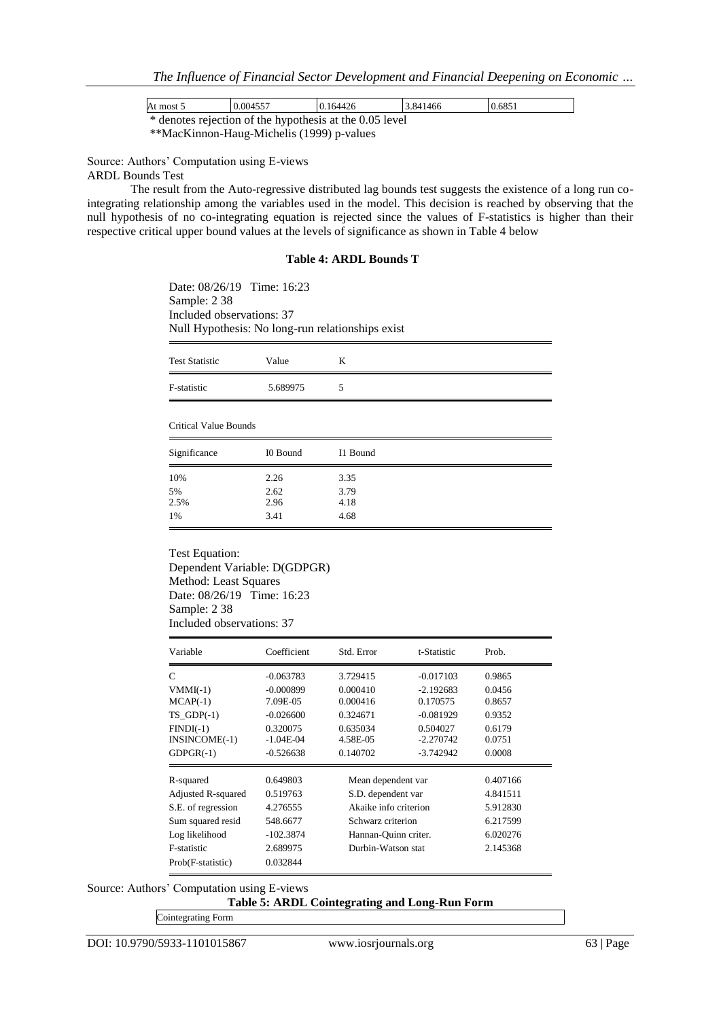*The Influence of Financial Sector Development and Financial Deepening on Economic …*

| At most 5                                               | 0.004557 | 0.164426 | 3.841466 | 0.6851 |  |  |  |
|---------------------------------------------------------|----------|----------|----------|--------|--|--|--|
| * denotes rejection of the hypothesis at the 0.05 level |          |          |          |        |  |  |  |
|                                                         |          |          |          |        |  |  |  |

\*\*MacKinnon-Haug-Michelis (1999) p-values

Source: Authors" Computation using E-views

ARDL Bounds Test

The result from the Auto-regressive distributed lag bounds test suggests the existence of a long run cointegrating relationship among the variables used in the model. This decision is reached by observing that the null hypothesis of no co-integrating equation is rejected since the values of F-statistics is higher than their respective critical upper bound values at the levels of significance as shown in Table 4 below

#### **Table 4: ARDL Bounds T**

Date: 08/26/19 Time: 16:23 Sample: 2 38 Included observations: 37 Null Hypothesis: No long-run relationships exist

| <b>Test Statistic</b> | Value    |   |
|-----------------------|----------|---|
| F-statistic           | 5.689975 | ∼ |

Critical Value Bounds

| Significance | I0 Bound | I1 Bound |
|--------------|----------|----------|
| 10%          | 2.26     | 3.35     |
| 5%           | 2.62     | 3.79     |
| 2.5%         | 2.96     | 4.18     |
| 1%           | 3.41     | 4.68     |

Test Equation: Dependent Variable: D(GDPGR) Method: Least Squares Date: 08/26/19 Time: 16:23 Sample: 2 38 Included observations: 37

| Variable                                    | Coefficient                            | Std. Error                       | t-Statistic                            | Prob.                      |
|---------------------------------------------|----------------------------------------|----------------------------------|----------------------------------------|----------------------------|
| C                                           | $-0.063783$                            | 3.729415                         | $-0.017103$                            | 0.9865                     |
| $VMMI(-1)$                                  | $-0.000899$                            | 0.000410                         | $-2.192683$                            | 0.0456                     |
| $MCAP(-1)$                                  | 7.09E-05                               | 0.000416                         | 0.170575                               | 0.8657                     |
| $TS$ GDP $(-1)$                             | $-0.026600$                            | 0.324671                         | $-0.081929$                            | 0.9352                     |
| $FINDI(-1)$<br>INSINCOME(-1)<br>$GDPGR(-1)$ | 0.320075<br>$-1.04E-04$<br>$-0.526638$ | 0.635034<br>4.58E-05<br>0.140702 | 0.504027<br>$-2.270742$<br>$-3.742942$ | 0.6179<br>0.0751<br>0.0008 |
| R-squared                                   | 0.649803                               | Mean dependent var               |                                        | 0.407166                   |
| Adjusted R-squared                          | 0.519763                               | S.D. dependent var               |                                        | 4.841511                   |
| S.E. of regression                          | 4.276555                               |                                  | Akaike info criterion                  |                            |
| Sum squared resid                           | 548.6677                               | Schwarz criterion                |                                        | 6.217599                   |
| Log likelihood                              | $-102.3874$                            |                                  | Hannan-Quinn criter.                   |                            |
| <b>F-statistic</b>                          | 2.689975                               |                                  | Durbin-Watson stat                     |                            |
| Prob(F-statistic)                           | 0.032844                               |                                  |                                        |                            |

Source: Authors" Computation using E-views

**Table 5: ARDL Cointegrating and Long-Run Form**

Cointegrating Form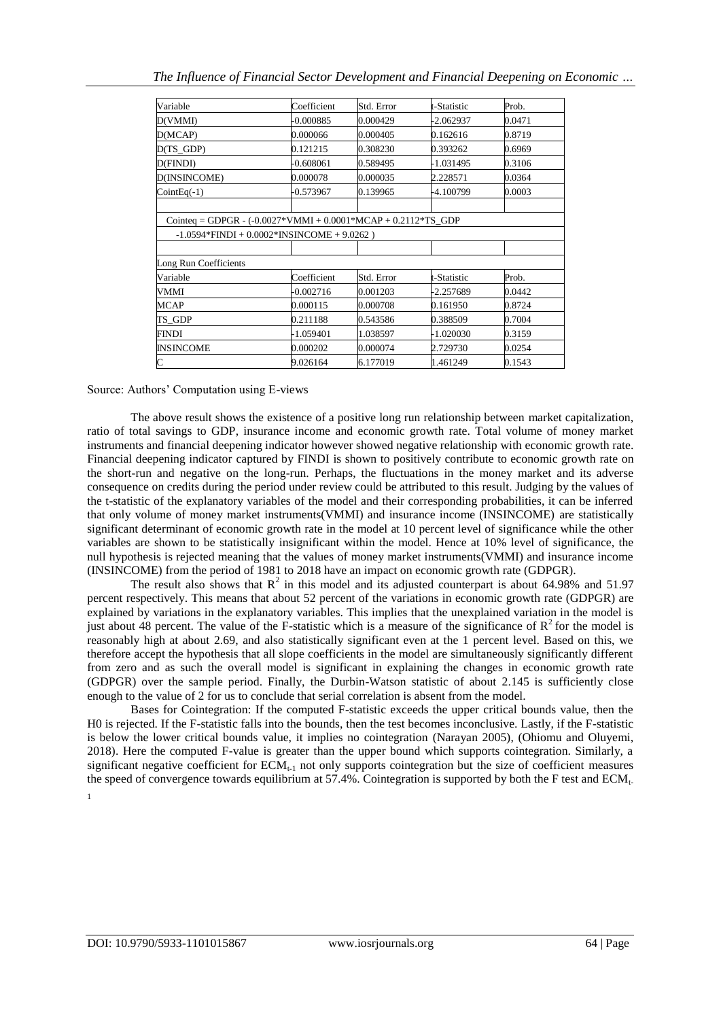| Variable                                                        | Coefficient                                   | Std. Error | t-Statistic | Prob.  |
|-----------------------------------------------------------------|-----------------------------------------------|------------|-------------|--------|
| D(VMMI)                                                         | -0.000885                                     | 0.000429   | -2.062937   | 0.0471 |
| D(MCAP)                                                         | 0.000066                                      | 0.000405   | 0.162616    | 0.8719 |
| D(TS_GDP)                                                       | 0.121215                                      | 0.308230   | 0.393262    | 0.6969 |
| D(FINDI)                                                        | $-0.608061$                                   | 0.589495   | -1.031495   | 0.3106 |
| D(INSINCOME)                                                    | 0.000078                                      | 0.000035   | 2.228571    | 0.0364 |
| $CointEq(-1)$                                                   | $-0.573967$                                   | 0.139965   | -4.100799   | 0.0003 |
|                                                                 |                                               |            |             |        |
| Cointeq = GDPGR - $(-0.0027*VMMI + 0.0001*MCAP + 0.2112*TS_GDP$ |                                               |            |             |        |
|                                                                 | $-1.0594*FINDI + 0.0002*INSINCOMP + 9.0262$ ) |            |             |        |
|                                                                 |                                               |            |             |        |
| Long Run Coefficients                                           |                                               |            |             |        |
| Variable                                                        | Coefficient                                   | Std. Error | t-Statistic | Prob.  |
| VMMI                                                            | $-0.002716$                                   | 0.001203   | -2.257689   | 0.0442 |
| <b>MCAP</b>                                                     | 0.000115                                      | 0.000708   | 0.161950    | 0.8724 |
| TS_GDP                                                          | 0.211188                                      | 0.543586   | 0.388509    | 0.7004 |
| <b>FINDI</b>                                                    | $-1.059401$                                   | 1.038597   | -1.020030   | 0.3159 |
| <b>INSINCOME</b>                                                | 0.000202                                      | 0.000074   | 2.729730    | 0.0254 |
| C                                                               | 9.026164                                      | 6.177019   | 1.461249    | 0.1543 |

#### Source: Authors" Computation using E-views

The above result shows the existence of a positive long run relationship between market capitalization, ratio of total savings to GDP, insurance income and economic growth rate. Total volume of money market instruments and financial deepening indicator however showed negative relationship with economic growth rate. Financial deepening indicator captured by FINDI is shown to positively contribute to economic growth rate on the short-run and negative on the long-run. Perhaps, the fluctuations in the money market and its adverse consequence on credits during the period under review could be attributed to this result. Judging by the values of the t-statistic of the explanatory variables of the model and their corresponding probabilities, it can be inferred that only volume of money market instruments(VMMI) and insurance income (INSINCOME) are statistically significant determinant of economic growth rate in the model at 10 percent level of significance while the other variables are shown to be statistically insignificant within the model. Hence at 10% level of significance, the null hypothesis is rejected meaning that the values of money market instruments(VMMI) and insurance income (INSINCOME) from the period of 1981 to 2018 have an impact on economic growth rate (GDPGR).

The result also shows that  $R^2$  in this model and its adjusted counterpart is about 64.98% and 51.97 percent respectively. This means that about 52 percent of the variations in economic growth rate (GDPGR) are explained by variations in the explanatory variables. This implies that the unexplained variation in the model is just about 48 percent. The value of the F-statistic which is a measure of the significance of  $\mathbb{R}^2$  for the model is reasonably high at about 2.69, and also statistically significant even at the 1 percent level. Based on this, we therefore accept the hypothesis that all slope coefficients in the model are simultaneously significantly different from zero and as such the overall model is significant in explaining the changes in economic growth rate (GDPGR) over the sample period. Finally, the Durbin-Watson statistic of about 2.145 is sufficiently close enough to the value of 2 for us to conclude that serial correlation is absent from the model.

Bases for Cointegration: If the computed F-statistic exceeds the upper critical bounds value, then the H0 is rejected. If the F-statistic falls into the bounds, then the test becomes inconclusive. Lastly, if the F-statistic is below the lower critical bounds value, it implies no cointegration (Narayan 2005), (Ohiomu and Oluyemi, 2018). Here the computed F-value is greater than the upper bound which supports cointegration. Similarly, a significant negative coefficient for  $ECM<sub>t-1</sub>$  not only supports cointegration but the size of coefficient measures the speed of convergence towards equilibrium at 57.4%. Cointegration is supported by both the F test and  $ECM<sub>t</sub>$ . 1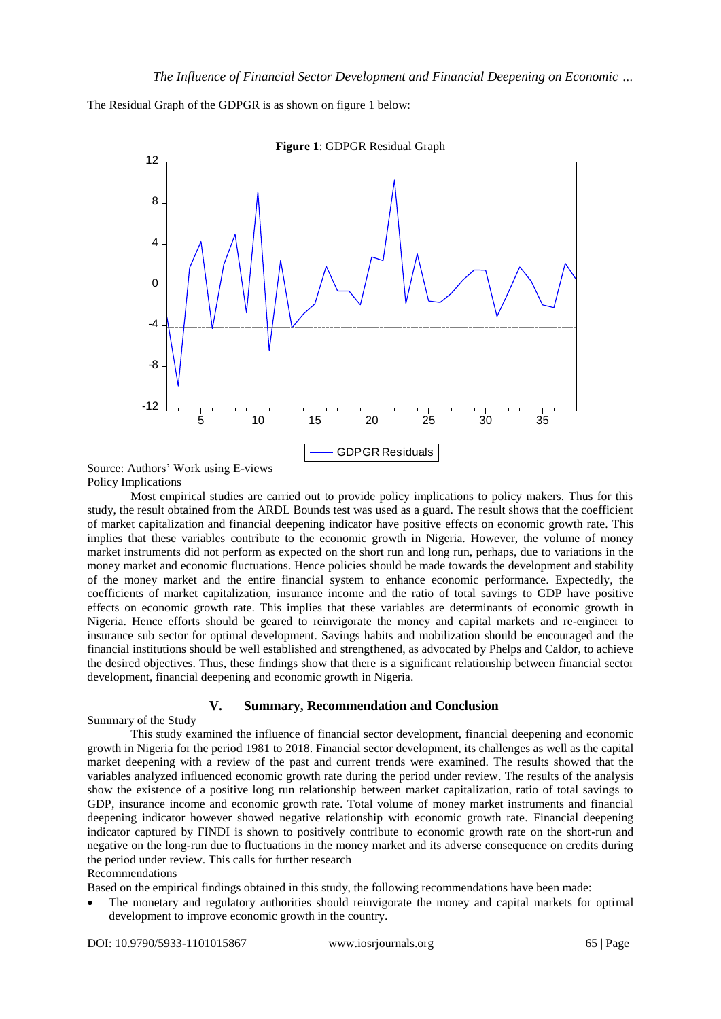The Residual Graph of the GDPGR is as shown on figure 1 below:



Source: Authors" Work using E-views Policy Implications

Most empirical studies are carried out to provide policy implications to policy makers. Thus for this study, the result obtained from the ARDL Bounds test was used as a guard. The result shows that the coefficient of market capitalization and financial deepening indicator have positive effects on economic growth rate. This implies that these variables contribute to the economic growth in Nigeria. However, the volume of money market instruments did not perform as expected on the short run and long run, perhaps, due to variations in the money market and economic fluctuations. Hence policies should be made towards the development and stability of the money market and the entire financial system to enhance economic performance. Expectedly, the coefficients of market capitalization, insurance income and the ratio of total savings to GDP have positive effects on economic growth rate. This implies that these variables are determinants of economic growth in Nigeria. Hence efforts should be geared to reinvigorate the money and capital markets and re-engineer to insurance sub sector for optimal development. Savings habits and mobilization should be encouraged and the financial institutions should be well established and strengthened, as advocated by Phelps and Caldor, to achieve the desired objectives. Thus, these findings show that there is a significant relationship between financial sector development, financial deepening and economic growth in Nigeria.

# **V. Summary, Recommendation and Conclusion**

Summary of the Study

This study examined the influence of financial sector development, financial deepening and economic growth in Nigeria for the period 1981 to 2018. Financial sector development, its challenges as well as the capital market deepening with a review of the past and current trends were examined. The results showed that the variables analyzed influenced economic growth rate during the period under review. The results of the analysis show the existence of a positive long run relationship between market capitalization, ratio of total savings to GDP, insurance income and economic growth rate. Total volume of money market instruments and financial deepening indicator however showed negative relationship with economic growth rate. Financial deepening indicator captured by FINDI is shown to positively contribute to economic growth rate on the short-run and negative on the long-run due to fluctuations in the money market and its adverse consequence on credits during the period under review. This calls for further research

#### Recommendations

Based on the empirical findings obtained in this study, the following recommendations have been made:

 The monetary and regulatory authorities should reinvigorate the money and capital markets for optimal development to improve economic growth in the country.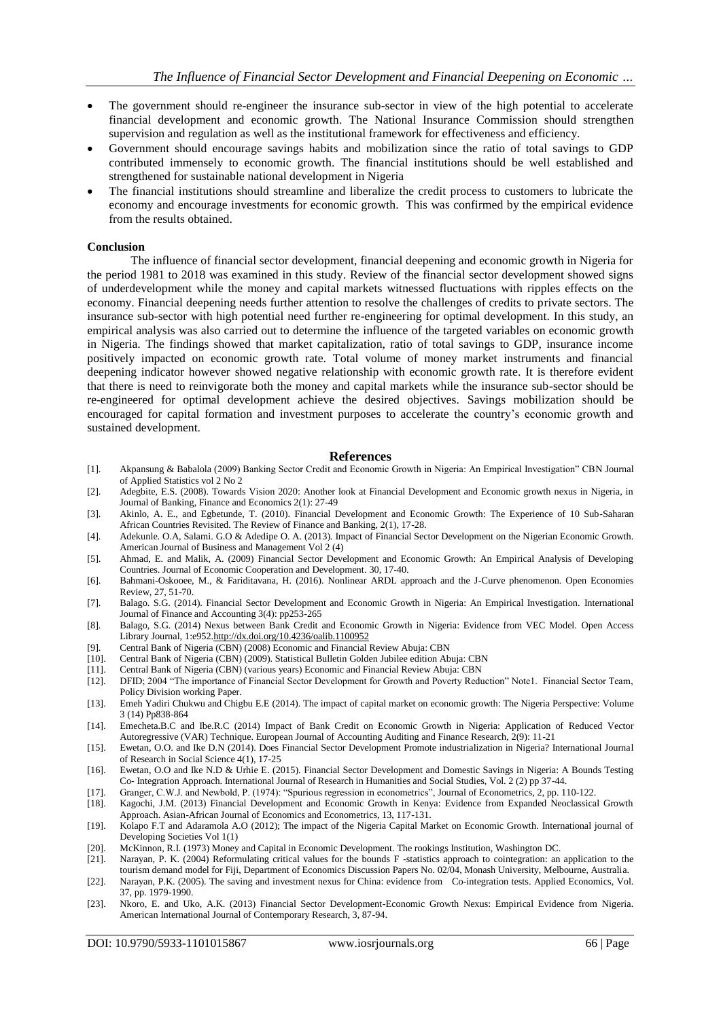- The government should re-engineer the insurance sub-sector in view of the high potential to accelerate financial development and economic growth. The National Insurance Commission should strengthen supervision and regulation as well as the institutional framework for effectiveness and efficiency.
- Government should encourage savings habits and mobilization since the ratio of total savings to GDP contributed immensely to economic growth. The financial institutions should be well established and strengthened for sustainable national development in Nigeria
- The financial institutions should streamline and liberalize the credit process to customers to lubricate the economy and encourage investments for economic growth. This was confirmed by the empirical evidence from the results obtained.

#### **Conclusion**

The influence of financial sector development, financial deepening and economic growth in Nigeria for the period 1981 to 2018 was examined in this study. Review of the financial sector development showed signs of underdevelopment while the money and capital markets witnessed fluctuations with ripples effects on the economy. Financial deepening needs further attention to resolve the challenges of credits to private sectors. The insurance sub-sector with high potential need further re-engineering for optimal development. In this study, an empirical analysis was also carried out to determine the influence of the targeted variables on economic growth in Nigeria. The findings showed that market capitalization, ratio of total savings to GDP, insurance income positively impacted on economic growth rate. Total volume of money market instruments and financial deepening indicator however showed negative relationship with economic growth rate. It is therefore evident that there is need to reinvigorate both the money and capital markets while the insurance sub-sector should be re-engineered for optimal development achieve the desired objectives. Savings mobilization should be encouraged for capital formation and investment purposes to accelerate the country"s economic growth and sustained development.

#### **References**

- [1]. Akpansung & Babalola (2009) Banking Sector Credit and Economic Growth in Nigeria: An Empirical Investigation" CBN Journal of Applied Statistics vol 2 No 2
- [2]. Adegbite, E.S. (2008). Towards Vision 2020: Another look at Financial Development and Economic growth nexus in Nigeria, in Journal of Banking, Finance and Economics 2(1): 27-49
- [3]. Akinlo, A. E., and Egbetunde, T. (2010). Financial Development and Economic Growth: The Experience of 10 Sub-Saharan African Countries Revisited. The Review of Finance and Banking, 2(1), 17-28.
- [4]. Adekunle. O.A, Salami. G.O & Adedipe O. A. (2013). Impact of Financial Sector Development on the Nigerian Economic Growth. American Journal of Business and Management Vol 2 (4)
- [5]. Ahmad, E. and Malik, A. (2009) Financial Sector Development and Economic Growth: An Empirical Analysis of Developing Countries. Journal of Economic Cooperation and Development. 30, 17-40.
- [6]. Bahmani-Oskooee, M., & Fariditavana, H. (2016). Nonlinear ARDL approach and the J-Curve phenomenon. Open Economies Review, 27, 51-70.
- [7]. Balago. S.G. (2014). Financial Sector Development and Economic Growth in Nigeria: An Empirical Investigation. International Journal of Finance and Accounting 3(4): pp253-265
- [8]. Balago, S.G. (2014) Nexus between Bank Credit and Economic Growth in Nigeria: Evidence from VEC Model. Open Access Library Journal, 1:e95[2.http://dx.doi.org/10.4236/oalib.1100952](http://dx.doi.org/10.4236/oalib.1100952)
- [9]. Central Bank of Nigeria (CBN) (2008) Economic and Financial Review Abuja: CBN
- [10]. Central Bank of Nigeria (CBN) (2009). Statistical Bulletin Golden Jubilee edition Abuja: CBN
- [11]. Central Bank of Nigeria (CBN) (various years) Economic and Financial Review Abuja: CBN
- [12]. DFID; 2004 "The importance of Financial Sector Development for Growth and Poverty Reduction" Note1. Financial Sector Team, Policy Division working Paper.
- [13]. Emeh Yadiri Chukwu and Chigbu E.E (2014). The impact of capital market on economic growth: The Nigeria Perspective: Volume 3 (14) Pp838-864
- [14]. Emecheta.B.C and Ibe.R.C (2014) Impact of Bank Credit on Economic Growth in Nigeria: Application of Reduced Vector Autoregressive (VAR) Technique. European Journal of Accounting Auditing and Finance Research, 2(9): 11-21
- [15]. Ewetan, O.O. and Ike D.N (2014). Does Financial Sector Development Promote industrialization in Nigeria? International Journal of Research in Social Science 4(1), 17-25
- [16]. Ewetan, O.O and Ike N.D & Urhie E. (2015). Financial Sector Development and Domestic Savings in Nigeria: A Bounds Testing Co- Integration Approach. International Journal of Research in Humanities and Social Studies, Vol. 2 (2) pp 37-44.
- [17]. Granger, C.W.J. and Newbold, P. (1974): "Spurious regression in econometrics", Journal of Econometrics, 2, pp. 110-122.
- [18]. Kagochi, J.M. (2013) Financial Development and Economic Growth in Kenya: Evidence from Expanded Neoclassical Growth Approach. Asian-African Journal of Economics and Econometrics, 13, 117-131.
- [19]. Kolapo F.T and Adaramola A.O (2012); The impact of the Nigeria Capital Market on Economic Growth. International journal of Developing Societies Vol 1(1)
- [20]. McKinnon, R.I. (1973) Money and Capital in Economic Development. The rookings Institution, Washington DC. [21]. Narayan, P. K. (2004) Reformulating critical values for the bounds F -statistics approach to cointegrati
- Narayan, P. K. (2004) Reformulating critical values for the bounds F -statistics approach to cointegration: an application to the tourism demand model for Fiji, Department of Economics Discussion Papers No. 02/04, Monash University, Melbourne, Australia.
- [22]. Narayan, P.K. (2005). The saving and investment nexus for China: evidence from Co-integration tests. Applied Economics, Vol. 37, pp. 1979-1990.
- [23]. Nkoro, E. and Uko, A.K. (2013) Financial Sector Development-Economic Growth Nexus: Empirical Evidence from Nigeria. American International Journal of Contemporary Research, 3, 87-94.